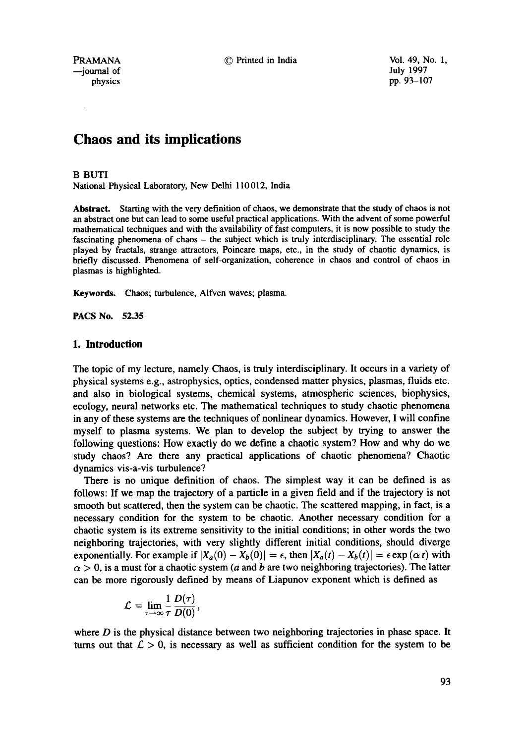-journal of

PRAMANA  $\qquad \qquad \circled{}$  Printed in India  $\qquad \qquad \text{Vol. } 49, \text{ No. } 1,$   $\qquad \qquad$  -journal of physics pp. 93–107

# **Chaos and its implications**

#### B BUTI

National Physical Laboratory, New Delhi 110012, India

Abstract. Starting with the very definition of chaos, we demonstrate that the study of chaos is **not**  an abstract one but can lead to some useful practical applications. With the advent of some powerful mathematical techniques and with the availability of fast computers, it is now possible to study the fascinating phenomena of chaos – the subject which is truly interdisciplinary. The essential role played by fractals, strange attractors, Poincare maps, etc., in the study of chaotic dynamics, is briefly discussed. Phenomena of self-organization, coherence in chaos and control of chaos in plasmas is highlighted.

**Keywords.** Chaos; turbulence, Alfven waves; plasma.

**PACS No. 52.35** 

#### **1. Introduction**

The topic of my lecture, namely Chaos, is truly interdisciplinary. It occurs in a variety of physical systems e.g., astrophysics, optics, condensed matter physics, plasmas, fluids etc. and also in biological systems, chemical systems, atmospheric sciences, biophysics, ecology, neural networks etc. The mathematical techniques to study chaotic phenomena in any of these systems are the techniques of nonlinear dynamics. However, I will confine myself to plasma systems. We plan to develop the subject by trying to answer the following questions: How exactly do we define a chaotic system? How and why do we study chaos? Are there any practical applications of chaotic phenomena? Chaotic dynamics vis-a-vis turbulence?

There is no unique definition of chaos. The simplest way it can be defined is as follows: If we map the trajectory of a particle in a given field and if the trajectory is **not**  smooth but scattered, then the system can be chaotic. The scattered mapping, in fact, is a necessary condition for the system to be chaotic. Another necessary condition for a chaotic system is its extreme sensitivity to the initial conditions; in other words the **two**  neighboring trajectories, with very slightly different initial conditions, should diverge exponentially. For example if  $|X_a(0) - X_b(0)| = \epsilon$ , then  $|X_a(t) - X_b(t)| = \epsilon \exp(\alpha t)$  with  $\alpha > 0$ , is a must for a chaotic system (a and b are two neighboring trajectories). The latter can be more rigorously defined by means of Liapunov exponent which is defined as

$$
\mathcal{L} = \lim_{\tau \to \infty} \frac{1}{\tau} \frac{D(\tau)}{D(0)},
$$

where  $D$  is the physical distance between two neighboring trajectories in phase space. It turns out that  $\mathcal{L} > 0$ , is necessary as well as sufficient condition for the system to be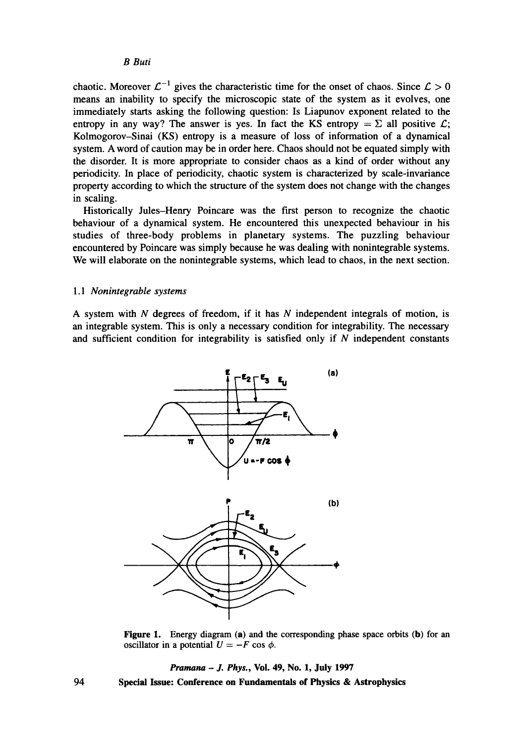chaotic. Moreover  $\mathcal{L}^{-1}$  gives the characteristic time for the onset of chaos. Since  $\mathcal{L} > 0$ means an inability to specify the microscopic state of the system as it evolves, one immediately starts asking the following question: Is Liapunov exponent related to the entropy in any way? The answer is yes. In fact the KS entropy  $=\Sigma$  all positive  $\mathcal{L}$ ; Kolmogorov-Sinai (KS) entropy is a measure of loss of information of a dynamical system. A word of caution may be in order here. Chaos should not be equated simply with the disorder. It is more appropriate to consider chaos as a kind of order without any periodicity. In place of periodicity, chaotic system is characterized by scale-invariance property according to which the structure of the system does not change with the changes in scaling.

Historically Jules-Henry Poincare was the first person to recognize the chaotic behaviour of a dynamical system. He encountered this unexpected behaviour in his studies of three-body problems in planetary systems. The puzzling behaviour encountered by Poincare was simply because he was dealing with nonintegrable systems. We will elaborate on the nonintegrable systems, which lead to chaos, in the next section.

# 1.1 *Nonintegrable systems*

A system with  $N$  degrees of freedom, if it has  $N$  independent integrals of motion, is an integrable system. This is only a necessary condition for integrability. The necessary and sufficient condition for integrability is satisfied only if  $N$  independent constants



**Figure** 1. Energy diagram (a) and the corresponding phase space orbits (b) for an oscillator in a potential  $U = -F \cos \phi$ .

*Pramana - J. Phys.,* Vol. 49, No. 1, July 1997

Special **Issue: Conference on Fundamentals of Physics & Astrophysics** 

94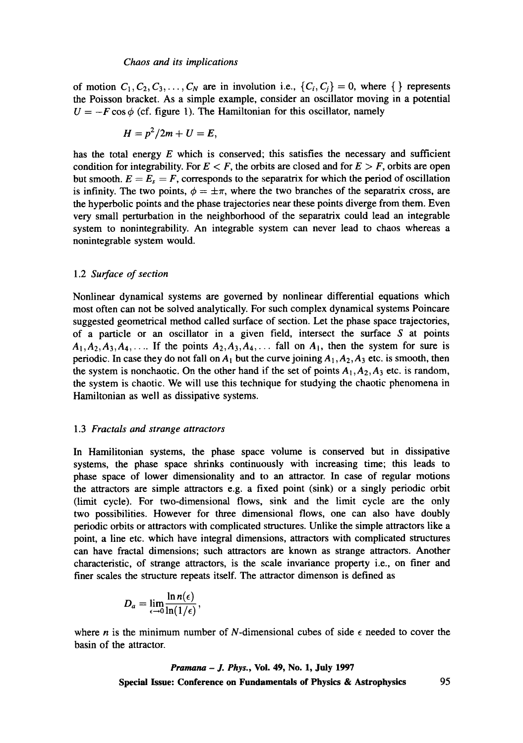of motion  $C_1, C_2, C_3, \ldots, C_N$  are in involution i.e.,  $\{C_i, C_j\} = 0$ , where  $\{\}\$  represents the Poisson bracket. As a simple example, consider an oscillator moving in a potential  $U = -F\cos\phi$  (cf. figure 1). The Hamiltonian for this oscillator, namely

$$
H=p^2/2m+U=E,
$$

has the total energy  $E$  which is conserved; this satisfies the necessary and sufficient condition for integrability. For  $E < F$ , the orbits are closed and for  $E > F$ , orbits are open but smooth.  $E = E_s = F$ , corresponds to the separatrix for which the period of oscillation is infinity. The two points,  $\phi = \pm \pi$ , where the two branches of the separatrix cross, are the hyperbolic points and the phase trajectories near these points diverge from them. Even very small perturbation in the neighborhood of the separatrix could lead an integrable system to nonintegrability. An integrable system can never lead to chaos whereas a nonintegrable system would.

# 1.2 *Surface of section*

Nonlinear dynamical systems are governed by nonlinear differential equations which most often can not be solved analytically. For such complex dynamical systems Poincare suggested geometrical method called surface of section. Let the phase space trajectories, of a particle or an oscillator in a given field, intersect the surface  $S$  at points  $A_1, A_2, A_3, A_4, \ldots$  If the points  $A_2, A_3, A_4, \ldots$  fall on  $A_1$ , then the system for sure is periodic. In case they do not fall on  $A_1$  but the curve joining  $A_1, A_2, A_3$  etc. is smooth, then the system is nonchaotic. On the other hand if the set of points  $A_1$ ,  $A_2$ ,  $A_3$  etc. is random, the system is chaotic. We will use this technique for studying the chaotic phenomena in Hamiltonian as well as dissipative systems.

# *1.3 Fractals and strange attractors*

In Hamilitonian systems, the phase space volume is conserved but in dissipative systems, the phase space shrinks continuously with increasing time; this leads to phase space of lower dimensionality and to an attractor. In case of regular motions the attractors are simple attractors e.g. a fixed point (sink) or a singly periodic orbit (limit cycle). For two-dimensional flows, sink and the limit cycle are the only two possibilities. However for three dimensional flows, one can also have doubly periodic orbits or attractors with complicated structures. Unlike the simple attractors like a point, a line etc. which have integral dimensions, attractors with complicated structures can have fractal dimensions; such attractors are known as strange attractors. Another characteristic, of strange attractors, is the scale invariance property i.e., on finer and finer scales the structure repeats itself. The attractor dimenson is defined as

$$
D_a = \lim_{\epsilon \to 0} \frac{\ln n(\epsilon)}{\ln(1/\epsilon)},
$$

where *n* is the minimum number of *N*-dimensional cubes of side  $\epsilon$  needed to cover the basin of the attractor.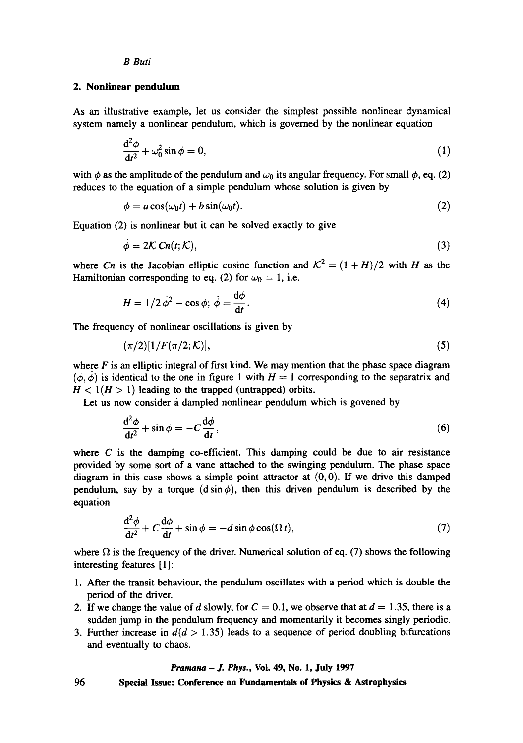# **2. Nonlinear pendulum**

As an illustrative example, let us consider the simplest possible nonlinear dynamical system namely a nonlinear pendulum, which is governed by the nonlinear equation

$$
\frac{\mathrm{d}^2 \phi}{\mathrm{d}t^2} + \omega_0^2 \sin \phi = 0,\tag{1}
$$

with  $\phi$  as the amplitude of the pendulum and  $\omega_0$  its angular frequency. For small  $\phi$ , eq. (2) reduces to the equation of a simple pendulum whose solution is given by

$$
\phi = a\cos(\omega_0 t) + b\sin(\omega_0 t). \tag{2}
$$

Equation (2) is nonlinear but it can be solved exactly to give

$$
\dot{\phi} = 2\mathcal{K} C n(t; \mathcal{K}),\tag{3}
$$

where *Cn* is the Jacobian elliptic cosine function and  $K^2 = (1 + H)/2$  with H as the Hamiltonian corresponding to eq. (2) for  $\omega_0 = 1$ , i.e.

$$
H = 1/2 \dot{\phi}^2 - \cos \phi; \ \dot{\phi} = \frac{d\phi}{dt}.
$$
 (4)

The frequency of nonlinear oscillations is given by

$$
(\pi/2)[1/F(\pi/2; \mathcal{K})],\tag{5}
$$

where  $F$  is an elliptic integral of first kind. We may mention that the phase space diagram  $(\phi, \dot{\phi})$  is identical to the one in figure 1 with  $H = 1$  corresponding to the separatrix and  $H < 1(H > 1)$  leading to the trapped (untrapped) orbits.

Let us now consider a dampled nonlinear pendulum which is govened by

$$
\frac{\mathrm{d}^2 \phi}{\mathrm{d}t^2} + \sin \phi = -C \frac{\mathrm{d}\phi}{\mathrm{d}t},\tag{6}
$$

where  $C$  is the damping co-efficient. This damping could be due to air resistance provided by some sort of a vane attached to the swinging pendulum. The phase space diagram in this case shows a simple point attractor at  $(0, 0)$ . If we drive this damped pendulum, say by a torque  $(d \sin \phi)$ , then this driven pendulum is described by the equation

$$
\frac{d^2\phi}{dt^2} + C\frac{d\phi}{dt} + \sin\phi = -d\sin\phi\cos(\Omega t),\tag{7}
$$

where  $\Omega$  is the frequency of the driver. Numerical solution of eq. (7) shows the following interesting features [1]:

- 1. After the transit behaviour, the pendulum oscillates with a period which is double the period of the driver.
- 2. If we change the value of d slowly, for  $C = 0.1$ , we observe that at  $d = 1.35$ , there is a sudden jump in the pendulum frequency and momentarily it becomes singly periodic.
- 3. Further increase in  $d(d > 1.35)$  leads to a sequence of period doubling bifurcations and eventually to chaos.

#### *Pramana - J. Phys.,* **Vol. 49, No. 1, July 1997**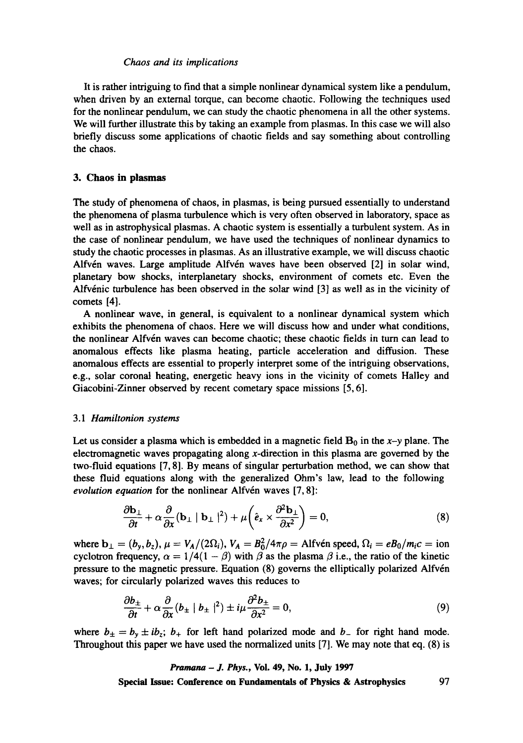It is rather intriguing to find that a simple nonlinear dynamical system like a pendulum, when driven by an external torque, can become chaotic. Following the techniques used for the nonlinear pendulum, we can study the chaotic phenomena in all the other systems. We will further illustrate this by taking an example from plasmas. In this case we will also briefly discuss some applications of chaotic fields and say something about controlling the chaos.

### **3. Chaos in plasmas**

The study of phenomena of chaos, in plasmas, is being pursued essentially to understand the phenomena of plasma turbulence which is very often observed in laboratory, space as well as in astrophysical plasmas. A chaotic system is essentially a turbulent system. As in the case of nonlinear pendulum, we have used the techniques of nonlinear dynamics to study the chaotic processes in plasmas. As an illustrative example, we will discuss chaotic Alfvén waves. Large amplitude Alfvén waves have been observed [2] in solar wind, planetary bow shocks, interplanetary shocks, environment of comets etc. Even the Alfvénic turbulence has been observed in the solar wind  $[3]$  as well as in the vicinity of comets [4].

A nonlinear wave, in general, is equivalent to a nonlinear dynamical system which exhibits the phenomena of chaos. Here we will discuss how and under what conditions, the nonlinear Alfvén waves can become chaotic; these chaotic fields in turn can lead to anomalous effects like plasma heating, particle acceleration and diffusion. These anomalous effects are essential to properly interpret some of the intriguing observations, e.g., solar coronal heating, energetic heavy ions in the vicinity of comets Halley and Giacobini-Zinner observed by recent cometary space missions [5, 6].

#### 3.1 *Hamiltonion systems*

Let us consider a plasma which is embedded in a magnetic field  $B_0$  in the  $x-y$  plane. The electromagnetic waves propagating along x-direction in this plasma are governed by the two-fluid equations [7, 8]. By means of singular perturbation method, we can show that these fluid equations along with the generalized Ohm's law, lead to the following *evolution equation* for the nonlinear Alfvén waves [7, 8]:

$$
\frac{\partial \mathbf{b}_{\perp}}{\partial t} + \alpha \frac{\partial}{\partial x} (\mathbf{b}_{\perp} \mid \mathbf{b}_{\perp} \mid^2) + \mu \left( \hat{\mathbf{e}}_x \times \frac{\partial^2 \mathbf{b}_{\perp}}{\partial x^2} \right) = 0, \tag{8}
$$

where  $\mathbf{b}_{\perp} = (b_y, b_z), \mu = V_A/(2\Omega_i), V_A = B_0^2/4\pi\rho = \text{Alfv\'en speed}, \Omega_i = eB_0/m_ic = \text{ion}$ cyclotron frequency,  $\alpha = 1/4(1 - \beta)$  with  $\beta$  as the plasma  $\beta$  i.e., the ratio of the kinetic pressure to the magnetic pressure. Equation (8) governs the elliptically polarized Alfvén waves; for circularly polarized waves this reduces to

$$
\frac{\partial b_{\pm}}{\partial t} + \alpha \frac{\partial}{\partial x} (b_{\pm} \mid b_{\pm} \mid^2) \pm i\mu \frac{\partial^2 b_{\pm}}{\partial x^2} = 0, \tag{9}
$$

where  $b_{\pm} = b_{y} \pm ib_{z}$ ;  $b_{+}$  for left hand polarized mode and  $b_{-}$  for right hand mode. Throughout this paper we have used the normalized units [7]. We may note that eq. (8) is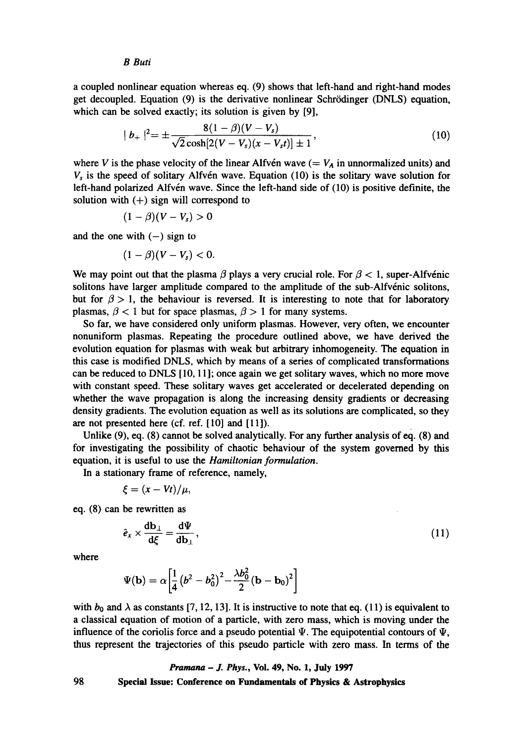a coupled nonlinear equation whereas eq. (9) shows that left-hand and right-hand modes get decoupled. Equation (9) is the derivative nonlinear Schrödinger (DNLS) equation, which can be solved exactly; its solution is given by [9],

$$
|b_{+}|^{2} = \pm \frac{8(1-\beta)(V-V_{s})}{\sqrt{2}\cosh[2(V-V_{s})(x-V_{s}t)]\pm 1},
$$
\n(10)

where V is the phase velocity of the linear Alfvén wave  $(= V_A$  in unnormalized units) and  $V_s$  is the speed of solitary Alfvén wave. Equation (10) is the solitary wave solution for left-hand polarized Alfvén wave. Since the left-hand side of  $(10)$  is positive definite, the solution with  $(+)$  sign will correspond to

$$
(1-\beta)(V-V_s)>0
$$

and the one with  $(-)$  sign to

$$
(1-\beta)(V-V_s)<0.
$$

We may point out that the plasma  $\beta$  plays a very crucial role. For  $\beta < 1$ , super-Alfvénic solitons have larger amplitude compared to the amplitude of the sub-Alfvénic solitons, but for  $\beta > 1$ , the behaviour is reversed. It is interesting to note that for laboratory plasmas,  $\beta$  < 1 but for space plasmas,  $\beta$  > 1 for many systems.

So far, we have considered only uniform plasmas. However, very often, we encounter nonuniform plasmas. Repeating the procedure outlined above, we have derived the evolution equation for plasmas with weak but arbitrary inhomogeneity. The equation in this case is modified DNLS, which by means of a series of complicated transformations can be reduced to DNLS [10, 11]; once again we get solitary waves, which no more move with constant speed. These solitary waves get accelerated or decelerated depending on whether the wave propagation is along the increasing density gradients or decreasing density gradients. The evolution equation as well as its solutions are complicated, so they are not presented here (cf. ref. [10] and [11]).

Unlike (9), eq. (8) cannot be solved analytically. For any further analysis of eq. (8) and for investigating the possibility of chaotic behaviour of the system governed by this equation, it is useful to use the *Harailtonian formulation.* 

In a stationary frame of reference, namely,

$$
\xi=(x-Vt)/\mu,
$$

eq. (8) can be rewritten as

$$
\hat{e}_x \times \frac{\mathrm{d} \mathbf{b}_\perp}{\mathrm{d} \xi} = \frac{\mathrm{d} \Psi}{\mathrm{d} \mathbf{b}_\perp},\tag{11}
$$

where

$$
\Psi(\mathbf{b}) = \alpha \left[ \frac{1}{4} (b^2 - b_0^2)^2 - \frac{\lambda b_0^2}{2} (b - b_0)^2 \right]
$$

with  $b_0$  and  $\lambda$  as constants [7, 12, 13]. It is instructive to note that eq. (11) is equivalent to a classical equation of motion of a particle, with zero mass, which is moving under the influence of the coriolis force and a pseudo potential  $\Psi$ . The equipotential contours of  $\Psi$ , thus represent the trajectories of this pseudo particle with zero mass. In terms of the

#### *Pramana - J. Phys.,* Vol. 49, No. 1, July 1997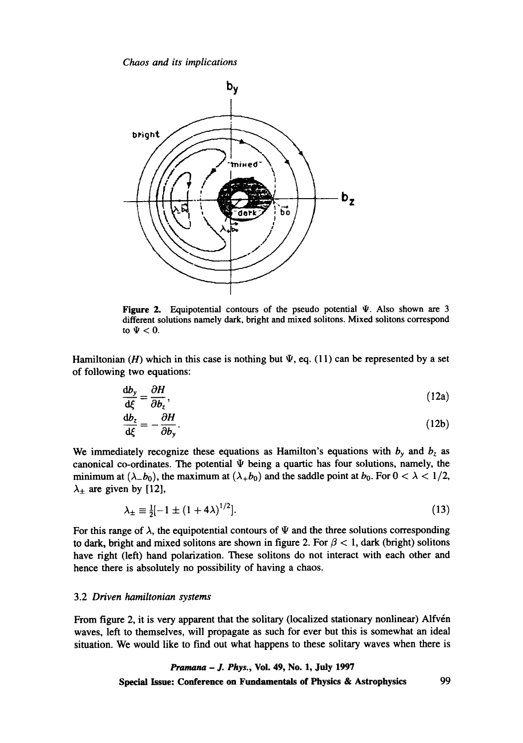

Figure 2. Equipotential contours of the pseudo potential  $\Psi$ . Also shown are 3 different solutions namely dark, bright and mixed solitons. Mixed solitons correspond to  $\Psi < 0$ .

Hamiltonian (H) which in this case is nothing but  $\Psi$ , eq. (11) can be represented by a set of following two equations:

$$
\frac{\mathrm{d}b_y}{\mathrm{d}\xi} = \frac{\partial H}{\partial b_z},\tag{12a}
$$

$$
\frac{\mathrm{d}b_z}{\mathrm{d}\xi} = -\frac{\partial H}{\partial b_y}.\tag{12b}
$$

We immediately recognize these equations as Hamilton's equations with  $b<sub>y</sub>$  and  $b<sub>z</sub>$  as canonical co-ordinates. The potential  $\Psi$  being a quartic has four solutions, namely, the minimum at  $(\lambda - b_0)$ , the maximum at  $(\lambda + b_0)$  and the saddle point at  $b_0$ . For  $0 < \lambda < 1/2$ ,  $\lambda_{\pm}$  are given by [12],

$$
\lambda_{\pm} \equiv \frac{1}{2}[-1 \pm (1 + 4\lambda)^{1/2}]. \tag{13}
$$

For this range of  $\lambda$ , the equipotential contours of  $\Psi$  and the three solutions corresponding to dark, bright and mixed solitons are shown in figure 2. For  $\beta$  < 1, dark (bright) solitons have right (left) hand polarization. These solitons do not interact with each other and hence there is absolutely no possibility of having a chaos.

#### 3.2 *Driven hamiltonian systems*

From figure 2, it is very apparent that the solitary (localized stationary nonlinear) Alfvén waves, left to themselves, will propagate as such for ever but this is somewhat an ideal situation. We would like to find out what happens to these solitary waves when there is

# *Pramana - J. Phys.,* Vol. 49, No. 1, July 1997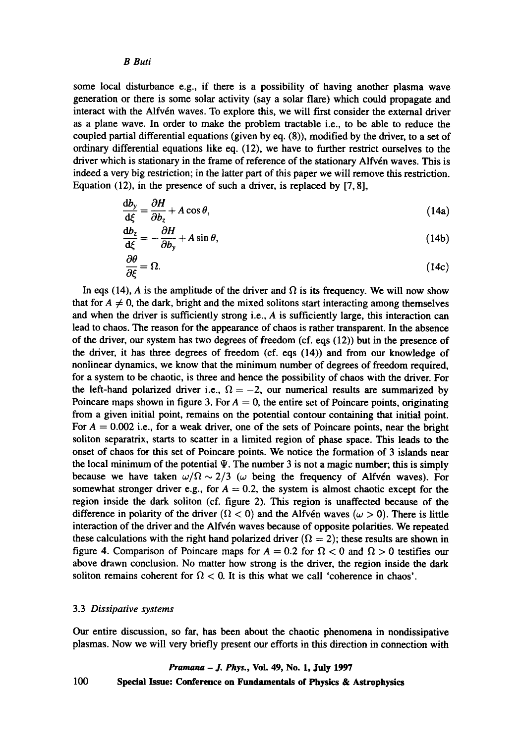some local disturbance e.g., if there is a possibility of having another plasma wave generation or there is some solar activity (say a solar flare) which could propagate and interact with the Alfvén waves. To explore this, we will first consider the external driver as a plane wave. In order to make the problem tractable i.e., to be able to reduce the coupled partial differential equations (given by eq. (8)), modified by the driver, to a set of ordinary differential equations like eq. (12), we have to further restrict ourselves to the driver which is stationary in the frame of reference of the stationary Alfvén waves. This is indeed a very big restriction; in the latter part of this paper we will remove this restriction. Equation (12), in the presence of such a driver, is replaced by [7, 8],

$$
\frac{db_y}{d\xi} = \frac{\partial H}{\partial b_z} + A \cos \theta, \tag{14a}
$$

$$
\frac{\mathrm{d}b_z}{\mathrm{d}\xi} = -\frac{\partial H}{\partial b_y} + A\sin\theta,\tag{14b}
$$

$$
\frac{\partial \theta}{\partial \xi} = \Omega. \tag{14c}
$$

In eqs (14), A is the amplitude of the driver and  $\Omega$  is its frequency. We will now show that for  $A \neq 0$ , the dark, bright and the mixed solitons start interacting among themselves and when the driver is sufficiently strong i.e., A is sufficiently large, this interaction can lead to chaos. The reason for the appearance of chaos is rather transparent. In the absence of the driver, our system has two degrees of freedom (cf. eqs (12)) but in the presence of the driver, it has three degrees of freedom (cf. eqs (14)) and from our knowledge of nonlinear dynamics, we know that the minimum number of degrees of freedom required, for a system to be chaotic, is three and hence the possibility of chaos with the driver. For the left-hand polarized driver i.e.,  $\Omega = -2$ , our numerical results are summarized by Poincare maps shown in figure 3. For  $A = 0$ , the entire set of Poincare points, originating from a given initial point, remains on the potential contour containing that initial point. For  $A = 0.002$  i.e., for a weak driver, one of the sets of Poincare points, near the bright soliton separatrix, starts to scatter in a limited region of phase space. This leads to the onset of chaos for this set of Poincare points. We notice the formation of 3 islands near the local minimum of the potential  $\Psi$ . The number 3 is not a magic number; this is simply because we have taken  $\omega/\Omega \sim 2/3$  ( $\omega$  being the frequency of Alfvén waves). For somewhat stronger driver e.g., for  $A = 0.2$ , the system is almost chaotic except for the region inside the dark soliton (cf. figure 2). This region is unaffected because of the difference in polarity of the driver ( $\Omega$  < 0) and the Alfvén waves ( $\omega$  > 0). There is little interaction of the driver and the Alfvén waves because of opposite polarities. We repeated these calculations with the right hand polarized driver ( $\Omega = 2$ ); these results are shown in figure 4. Comparison of Poincare maps for  $A = 0.2$  for  $\Omega < 0$  and  $\Omega > 0$  testifies our above drawn conclusion. No matter how strong is the driver, the region inside the dark soliton remains coherent for  $\Omega < 0$ . It is this what we call 'coherence in chaos'.

#### 3.3 *Dissipative systems*

Our entire discussion, so far, has been about the chaotic phenomena in nondissipative plasmas. Now we will very briefly present our efforts in this direction in connection with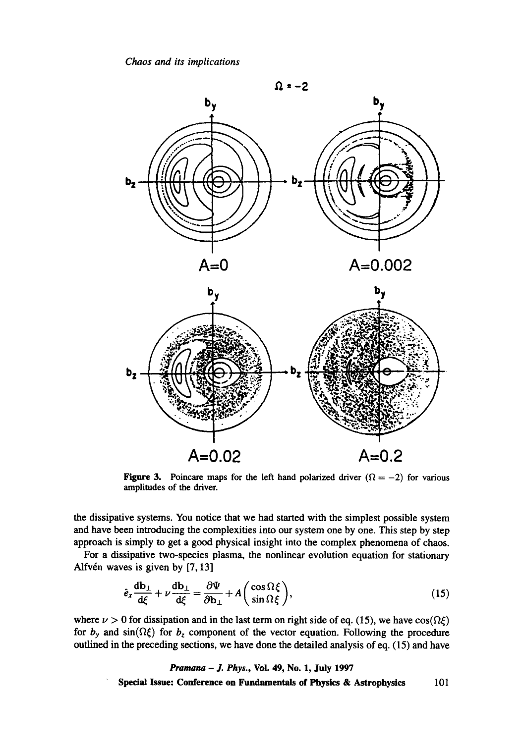

Figure 3. Poincare maps for the left hand polarized driver  $(\Omega = -2)$  for various amplitudes of the driver.

the dissipative systems. You notice that we had started with the simplest possible system and have been introducing the complexities into our system one by one. This step by step approach is simply to get a good physical insight into the complex phenomena of chaos.

For a dissipative two-species plasma, the nonlinear evolution equation for stationary Alfvén waves is given by  $[7, 13]$ 

$$
\hat{e}_x \frac{d\mathbf{b}_\perp}{d\xi} + \nu \frac{d\mathbf{b}_\perp}{d\xi} = \frac{\partial \Psi}{\partial \mathbf{b}_\perp} + A \bigg( \frac{\cos \Omega \xi}{\sin \Omega \xi} \bigg),\tag{15}
$$

where  $\nu > 0$  for dissipation and in the last term on right side of eq. (15), we have  $\cos(\Omega \xi)$ for  $b_y$  and  $sin(\Omega \xi)$  for  $b_z$  component of the vector equation. Following the procedure outlined in the preceding sections, we have done the detailed analysis of eq. (15) and have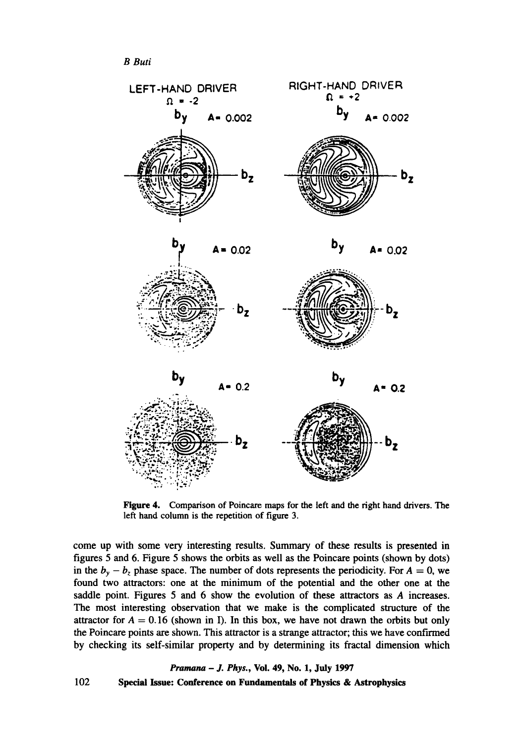

Figure 4. Comparison of Poincare maps for the left and the right hand drivers. The left hand column is the repetition of figure 3.

come up with some very interesting results. Summary of these results is presented in figures 5 and 6. Figure 5 shows the orbits as well as the Poincare points (shown by dots) in the  $b_y - b_z$  phase space. The number of dots represents the periodicity. For  $A = 0$ , we found two attractors: one at the minimum of the potential and the other one at the saddle point. Figures 5 and 6 show the evolution of these attractors as A increases. The most interesting observation that we make is the complicated structure of the attractor for  $A = 0.16$  (shown in I). In this box, we have not drawn the orbits but only the Poincare points are shown. This attractor is a strange attractor; this we have confirmed by checking its self-similar property and by determining its fractal dimension which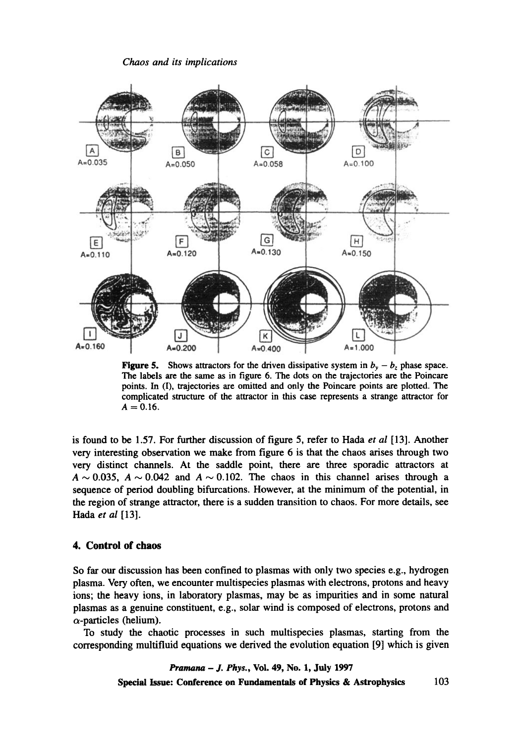

**Figure 5.** Shows attractors for the driven dissipative system in  $b_y - b_z$  phase space. The labels are the same as in figure 6. The dots on the trajectories are the Poincare points. In (I), trajectories are omitted and only the Poincare points are plotted. The complicated structure of the attractor in this case represents a strange attractor for  $A = 0.16$ .

is found to be 1.57. For further discussion of figure 5, refer to Hada *et al* [13]. Another very interesting observation we make from figure 6 is that the chaos arises through two very distinct channels. At the saddle point, there are three sporadic attractors at  $A \sim 0.035$ ,  $A \sim 0.042$  and  $A \sim 0.102$ . The chaos in this channel arises through a sequence of period doubling bifurcations. However, at the minimum of the potential, in the region of strange attractor, there is a sudden transition to chaos. For more details, see Hada *et al* [13].

# **4. Control of chaos**

So far our discussion has been confined to plasmas with only two species e.g., hydrogen plasma. Very often, we encounter multispecies plasmas with electrons, protons and heavy ions; the heavy ions, in laboratory plasmas, may be as impurities and in some natural plasmas as a genuine constituent, e.g., solar wind is composed of electrons, protons and  $\alpha$ -particles (helium).

To study the chaotic processes in such multispecies plasmas, starting from the corresponding multifluid equations we derived the evolution equation [9] which is given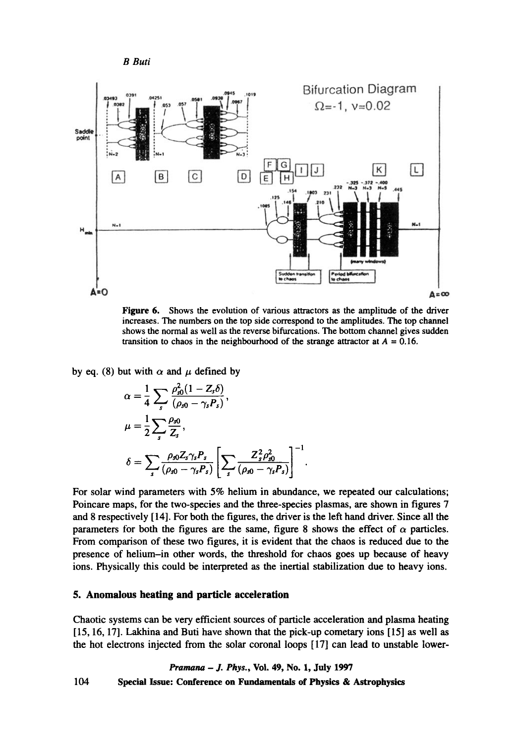



Figure 6. Shows the evolution of various attractors as the amplitude of the driver increases. The numbers on the top side correspond to the amplitudes. The top channel shows the normal as well as the reverse bifurcations. The bottom channel gives sudden transition to chaos in the neighbourhood of the strange attractor at  $A = 0.16$ .

by eq. (8) but with  $\alpha$  and  $\mu$  defined by

$$
\alpha = \frac{1}{4} \sum_{s} \frac{\rho_{s0}^2 (1 - Z_s \delta)}{(\rho_{s0} - \gamma_s P_s)},
$$
  
\n
$$
\mu = \frac{1}{2} \sum_{s} \frac{\rho_{s0}}{Z_s},
$$
  
\n
$$
\delta = \sum_{s} \frac{\rho_{s0} Z_s \gamma_s P_s}{(\rho_{s0} - \gamma_s P_s)} \left[ \sum_{s} \frac{Z_s^2 \rho_{s0}^2}{(\rho_{s0} - \gamma_s P_s)} \right]^{-1}.
$$

For solar wind parameters with 5% helium in abundance, we repeated our calculations; Poincare maps, for the two-species and the three-species plasmas, are shown in figures 7 and 8 respectively [14]. For both the figures, the driver is the left hand driver. Since all the parameters for both the figures are the same, figure 8 shows the effect of  $\alpha$  particles. From comparison of these two figures, it is evident that the chaos is reduced due to the presence of helium-in other words, the threshold for chaos goes up because of heavy ions. Physically this could be interpreted as the inertial stabilization due to heavy ions.

# **5. Anomalous heating and particle acceleration**

Chaotic systems can be very efficient sources of particle acceleration and plasma heating [15, 16, 17]. Lakhina and Buti have shown that the pick-up cometary ions [15] as well as the hot electrons injected from the solar coronal loops [17] can lead to unstable lower-

*Pranmna - J. Phys.,* Vol. 49, No. 1, July 1997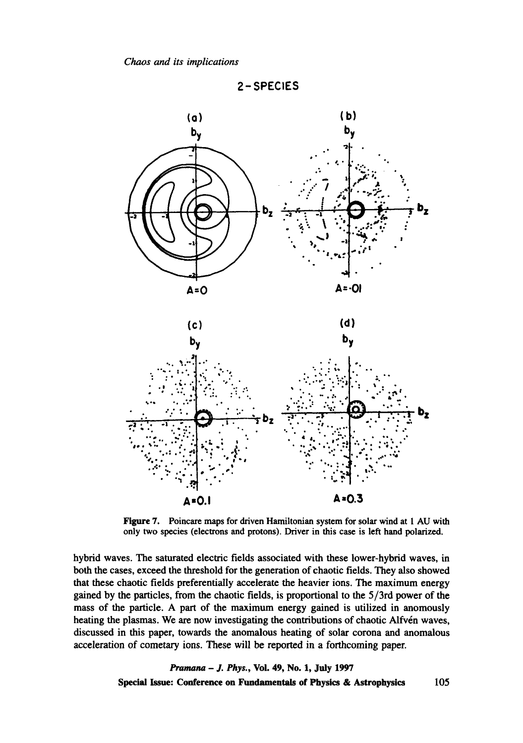

**Figure 7. Poincare maps for driven Hamiltonian system for solar wind at 1 AU with only two species (electrons and protons). Driver in this case is left hand polarized.** 

hybrid waves. The saturated electric fields associated with these lower-hybrid waves, in both the cases, exceed the threshold for the generation of chaotic fields. They also showed that these chaotic fields preferentially accelerate the heavier ions. The maximum energy gained by the particles, from the chaotic fields, is proportional to the 5/3rd power of the mass of the particle. A part of the maximum energy gained is utilized in anomously heating the plasmas. We are now investigating the contributions of chaotic Alfvén waves, discussed in this paper, towards the anomalous heating of solar corona and anomalous acceleration of cometary ions. These will be reported in a forthcoming paper.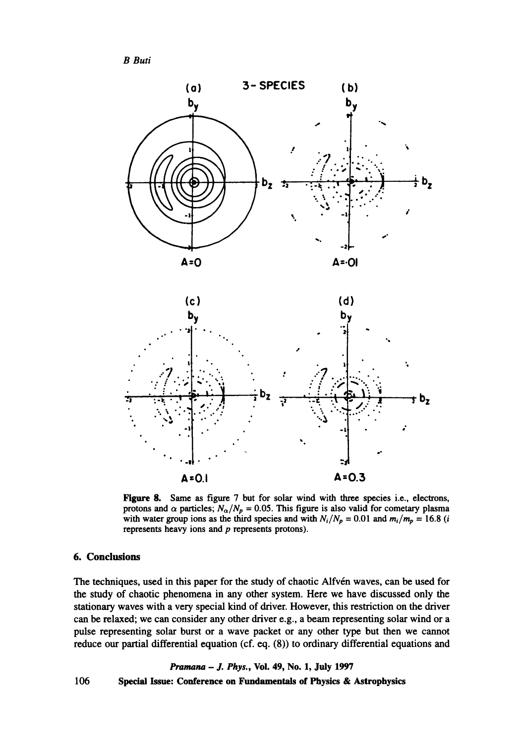```
B Buff
```


Figure 8. Same as figure 7 but for solar wind with three species i.e., electrons, protons and  $\alpha$  particles;  $N_{\alpha}/N_p = 0.05$ . This figure is also valid for cometary plasma with water group ions as the third species and with  $N_i/N_p = 0.01$  and  $m_i/m_p = 16.8$  (*i* represents heavy ions and p represents protons).

# **6. Conclusions**

The techniques, used in this paper for the study of chaotic Alfven waves, can be used for the study of chaotic phenomena in any other system. Here we have discussed only the stationary waves with a very special kind of driver. However, this restriction on the driver can be relaxed; we can consider any other driver e.g., a beam representing solar wind or a pulse representing solar burst or a wave packet or any other type but then we cannot reduce our partial differential equation (cf. eq. (8)) to ordinary differential equations and